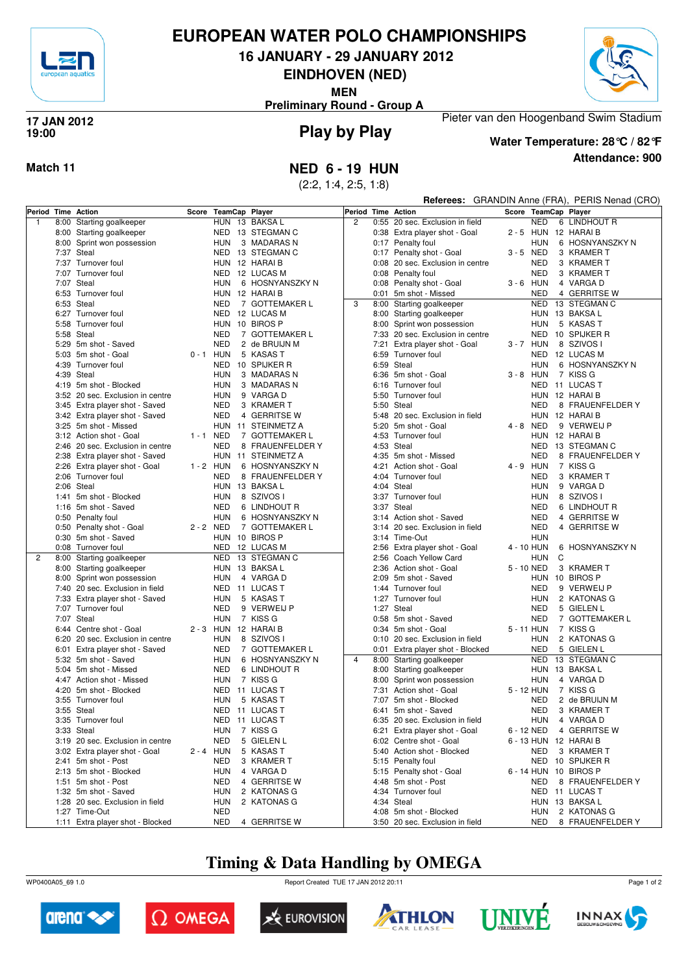

# **EUROPEAN WATER POLO CHAMPIONSHIPS**

**16 JANUARY - 29 JANUARY 2012**

**EINDHOVEN (NED)**

**MEN**

**Preliminary Round - Group A**



#### **Play by Play 17 JAN 2012 19:00**



**Water Temperature: 28°C / 82°F**

Pieter van den Hoogenband Swim Stadium

**Referees:** GRANDIN Anne (FRA), PERIS Nenad (CRO)

**Attendance: 900**

**Match 11 NED 6 - 19 HUN**

(2:2, 1:4, 2:5, 1:8)

| Period Time Action |                                  |             | Score TeamCap Player |                    | Period Time Action | .                                |             |            | (1.0, 0.00)<br>Score TeamCap Player |
|--------------------|----------------------------------|-------------|----------------------|--------------------|--------------------|----------------------------------|-------------|------------|-------------------------------------|
| $\mathbf{1}$       |                                  |             |                      | HUN 13 BAKSA L     | $\overline{2}$     | 0:55 20 sec. Exclusion in field  |             | NED        | 6 LINDHOUT R                        |
|                    | 8:00 Starting goalkeeper         |             |                      |                    |                    |                                  |             |            |                                     |
|                    | 8:00 Starting goalkeeper         |             |                      | NED 13 STEGMAN C   |                    | 0:38 Extra player shot - Goal    |             |            | 2-5 HUN 12 HARAIB                   |
|                    | 8:00 Sprint won possession       |             | <b>HUN</b>           | 3 MADARAS N        |                    | 0:17 Penalty foul                |             | HUN        | 6 HOSNYANSZKY N                     |
|                    | 7:37 Steal                       |             |                      | NED 13 STEGMAN C   |                    | 0:17 Penalty shot - Goal         | 3-5 NED     |            | 3 KRAMER T                          |
|                    | 7:37 Turnover foul               |             | HUN 12 HARAI B       |                    |                    | 0:08 20 sec. Exclusion in centre |             | <b>NED</b> | 3 KRAMER T                          |
|                    | 7:07 Turnover foul               |             |                      | NED 12 LUCAS M     |                    | 0:08 Penalty foul                |             | <b>NED</b> | 3 KRAMER T                          |
|                    | 7:07 Steal                       |             | <b>HUN</b>           | 6 HOSNYANSZKY N    |                    | 0:08 Penalty shot - Goal         | $3 - 6$ HUN |            | 4 VARGA D                           |
|                    | 6:53 Turnover foul               |             | HUN 12 HARAI B       |                    |                    | 0:01 5m shot - Missed            |             | <b>NED</b> | 4 GERRITSE W                        |
|                    | 6:53 Steal                       |             | <b>NED</b>           | 7 GOTTEMAKER L     | 3                  | 8:00 Starting goalkeeper         |             |            | NED 13 STEGMAN C                    |
|                    | 6:27 Turnover foul               |             |                      | NED 12 LUCAS M     |                    | 8:00 Starting goalkeeper         |             |            | HUN 13 BAKSA L                      |
|                    | 5:58 Turnover foul               |             |                      | HUN 10 BIROS P     |                    | 8:00 Sprint won possession       |             | HUN        | 5 KASAS T                           |
|                    | 5:58 Steal                       |             | <b>NED</b>           | 7 GOTTEMAKER L     |                    | 7:33 20 sec. Exclusion in centre |             | NED        | 10 SPIJKER R                        |
|                    | 5:29 5m shot - Saved             |             | <b>NED</b>           | 2 de BRUIJN M      |                    | 7:21 Extra player shot - Goal    | 3-7 HUN     |            | 8 SZIVOS I                          |
|                    | 5:03 5m shot - Goal              | $0 - 1$ HUN |                      | 5 KASAS T          |                    | 6:59 Turnover foul               |             | NED        | 12 LUCAS M                          |
|                    | 4:39 Turnover foul               |             |                      | NED 10 SPIJKER R   |                    | 6:59 Steal                       |             | <b>HUN</b> | 6 HOSNYANSZKY N                     |
|                    |                                  |             |                      |                    |                    |                                  |             |            |                                     |
|                    | 4:39 Steal                       |             | <b>HUN</b>           | 3 MADARAS N        |                    | 6:36 5m shot - Goal              | $3 - 8$ HUN |            | 7 KISS G                            |
|                    | 4:19 5m shot - Blocked           |             | <b>HUN</b>           | 3 MADARAS N        |                    | 6:16 Turnover foul               |             |            | NED 11 LUCAS T                      |
|                    | 3:52 20 sec. Exclusion in centre |             | <b>HUN</b>           | 9 VARGA D          |                    | 5:50 Turnover foul               |             |            | HUN 12 HARAI B                      |
|                    | 3:45 Extra player shot - Saved   |             | <b>NED</b>           | 3 KRAMER T         |                    | 5:50 Steal                       |             | <b>NED</b> | 8 FRAUENFELDER Y                    |
|                    | 3:42 Extra player shot - Saved   |             | <b>NED</b>           | 4 GERRITSE W       |                    | 5:48 20 sec. Exclusion in field  |             |            | HUN 12 HARAIB                       |
|                    | 3:25 5m shot - Missed            |             |                      | HUN 11 STEINMETZ A |                    | 5:20 5m shot - Goal              | 4 - 8 NED   |            | 9 VERWEIJ P                         |
|                    | 3:12 Action shot - Goal          | 1-1 NED     |                      | 7 GOTTEMAKER L     |                    | 4:53 Turnover foul               |             |            | HUN 12 HARAI B                      |
|                    | 2:46 20 sec. Exclusion in centre |             | <b>NED</b>           | 8 FRAUENFELDER Y   |                    | 4:53 Steal                       |             |            | NED 13 STEGMAN C                    |
|                    | 2:38 Extra player shot - Saved   |             |                      | HUN 11 STEINMETZ A |                    | 4:35 5m shot - Missed            |             | NED        | 8 FRAUENFELDER Y                    |
|                    | 2:26 Extra player shot - Goal    | 1 - 2 HUN   |                      | 6 HOSNYANSZKY N    |                    | 4:21 Action shot - Goal          | 4 - 9 HUN   |            | 7 KISS G                            |
|                    | 2:06 Turnover foul               |             | NED                  | 8 FRAUENFELDER Y   |                    | 4:04 Turnover foul               |             | <b>NED</b> | 3 KRAMER T                          |
|                    | 2:06 Steal                       |             |                      | HUN 13 BAKSA L     |                    | 4:04 Steal                       |             | <b>HUN</b> | 9 VARGA D                           |
|                    | 1:41 5m shot - Blocked           |             | <b>HUN</b>           | 8 SZIVOS I         |                    | 3:37 Turnover foul               |             | HUN        | 8 SZIVOS I                          |
|                    |                                  |             |                      |                    |                    |                                  |             |            |                                     |
|                    | 1:16 5m shot - Saved             |             | <b>NED</b>           | 6 LINDHOUT R       |                    | 3:37 Steal                       |             | <b>NED</b> | 6 LINDHOUT R                        |
|                    | 0:50 Penalty foul                |             | <b>HUN</b>           | 6 HOSNYANSZKY N    |                    | 3:14 Action shot - Saved         |             | <b>NED</b> | 4 GERRITSE W                        |
|                    | 0:50 Penalty shot - Goal         | 2 - 2 NED   |                      | 7 GOTTEMAKER L     |                    | 3:14 20 sec. Exclusion in field  |             | <b>NED</b> | 4 GERRITSE W                        |
|                    | 0:30 5m shot - Saved             |             |                      | HUN 10 BIROS P     |                    | 3:14 Time-Out                    |             | <b>HUN</b> |                                     |
|                    | 0:08 Turnover foul               |             |                      | NED 12 LUCAS M     |                    | 2:56 Extra player shot - Goal    | 4 - 10 HUN  |            | 6 HOSNYANSZKY N                     |
| 2                  | 8:00 Starting goalkeeper         |             |                      | NED 13 STEGMAN C   |                    | 2:56 Coach Yellow Card           |             | <b>HUN</b> | C                                   |
|                    | 8:00 Starting goalkeeper         |             |                      | HUN 13 BAKSA L     |                    | 2:36 Action shot - Goal          | 5 - 10 NED  |            | 3 KRAMER T                          |
|                    | 8:00 Sprint won possession       |             | <b>HUN</b>           | 4 VARGA D          |                    | 2:09 5m shot - Saved             |             |            | HUN 10 BIROS P                      |
|                    | 7:40 20 sec. Exclusion in field  |             |                      | NED 11 LUCAS T     |                    | 1:44 Turnover foul               |             | <b>NED</b> | 9 VERWEIJ P                         |
|                    | 7:33 Extra player shot - Saved   |             | <b>HUN</b>           | 5 KASAS T          |                    | 1:27 Turnover foul               |             | <b>HUN</b> | 2 KATONAS G                         |
|                    | 7:07 Turnover foul               |             | <b>NED</b>           | 9 VERWEIJ P        |                    | 1:27 Steal                       |             | <b>NED</b> | 5 GIELEN L                          |
|                    | 7:07 Steal                       |             | <b>HUN</b>           | 7 KISS G           |                    | 0:58 5m shot - Saved             |             | <b>NED</b> | 7 GOTTEMAKER L                      |
|                    | 6:44 Centre shot - Goal          |             | 2 - 3 HUN 12 HARAIB  |                    |                    | 0:34 5m shot - Goal              | 5 - 11 HUN  |            | 7 KISS G                            |
|                    | 6:20 20 sec. Exclusion in centre |             | <b>HUN</b>           | 8 SZIVOS I         |                    | 0:10 20 sec. Exclusion in field  |             | HUN        | 2 KATONAS G                         |
|                    | 6:01 Extra player shot - Saved   |             | <b>NED</b>           | 7 GOTTEMAKER L     |                    | 0:01 Extra player shot - Blocked |             | <b>NED</b> | 5 GIELEN L                          |
|                    | 5:32 5m shot - Saved             |             | <b>HUN</b>           | 6 HOSNYANSZKY N    | $\overline{4}$     | 8:00 Starting goalkeeper         |             |            | NED 13 STEGMAN C                    |
|                    | 5:04 5m shot - Missed            |             | <b>NED</b>           |                    |                    |                                  |             |            | HUN 13 BAKSA L                      |
|                    |                                  |             |                      | 6 LINDHOUT R       |                    | 8:00 Starting goalkeeper         |             |            |                                     |
|                    | 4:47 Action shot - Missed        |             | HUN                  | 7 KISS G           |                    | 8:00 Sprint won possession       |             | HUN        | 4 VARGA D                           |
|                    | 4:20 5m shot - Blocked           |             |                      | NED 11 LUCAS T     |                    | 7:31 Action shot - Goal          | 5 - 12 HUN  |            | 7 KISS G                            |
|                    | 3:55 Turnover foul               |             | <b>HUN</b>           | 5 KASAS T          |                    | 7:07 5m shot - Blocked           |             | NED        | 2 de BRUIJN M                       |
|                    | 3:55 Steal                       |             |                      | NED 11 LUCAS T     |                    | 6:41 5m shot - Saved             |             | <b>NED</b> | 3 KRAMER T                          |
|                    | 3:35 Turnover foul               |             |                      | NED 11 LUCAS T     |                    | 6:35 20 sec. Exclusion in field  |             |            | HUN 4 VARGA D                       |
|                    | 3:33 Steal                       |             | HUN                  | 7 KISS G           |                    | 6:21 Extra player shot - Goal    |             |            | 6 - 12 NED 4 GERRITSE W             |
|                    | 3:19 20 sec. Exclusion in centre |             | NED                  | 5 GIELEN L         |                    | 6:02 Centre shot - Goal          |             |            | 6 - 13 HUN 12 HARAI B               |
|                    | 3:02 Extra player shot - Goal    | 2 - 4 HUN   |                      | 5 KASAS T          |                    | 5:40 Action shot - Blocked       |             | NED        | 3 KRAMER T                          |
|                    | 2:41 5m shot - Post              |             | NED                  | 3 KRAMER T         |                    | 5:15 Penalty foul                |             |            | NED 10 SPIJKER R                    |
|                    | 2:13 5m shot - Blocked           |             | <b>HUN</b>           | 4 VARGA D          |                    | 5:15 Penalty shot - Goal         |             |            | 6 - 14 HUN 10 BIROS P               |
|                    | 1:51 5m shot - Post              |             | <b>NED</b>           | 4 GERRITSE W       |                    | 4:48 5m shot - Post              |             | NED        | 8 FRAUENFELDER Y                    |
|                    | 1:32 5m shot - Saved             |             | <b>HUN</b>           | 2 KATONAS G        |                    | 4:34 Turnover foul               |             |            | NED 11 LUCAS T                      |
|                    | 1:28 20 sec. Exclusion in field  |             | <b>HUN</b>           | 2 KATONAS G        |                    | 4:34 Steal                       |             |            | HUN 13 BAKSA L                      |
|                    | 1:27 Time-Out                    |             | NED                  |                    |                    | 4:08 5m shot - Blocked           |             | HUN        | 2 KATONAS G                         |
|                    |                                  |             |                      |                    |                    |                                  |             |            |                                     |
|                    | 1:11 Extra player shot - Blocked |             | NED                  | 4 GERRITSE W       |                    | 3:50 20 sec. Exclusion in field  |             | NED        | 8 FRAUENFELDER Y                    |

# **Timing & Data Handling by OMEGA**

WP0400A05\_69 1.0 Report Created TUE 17 JAN 2012 20:11













Page 1 of 2